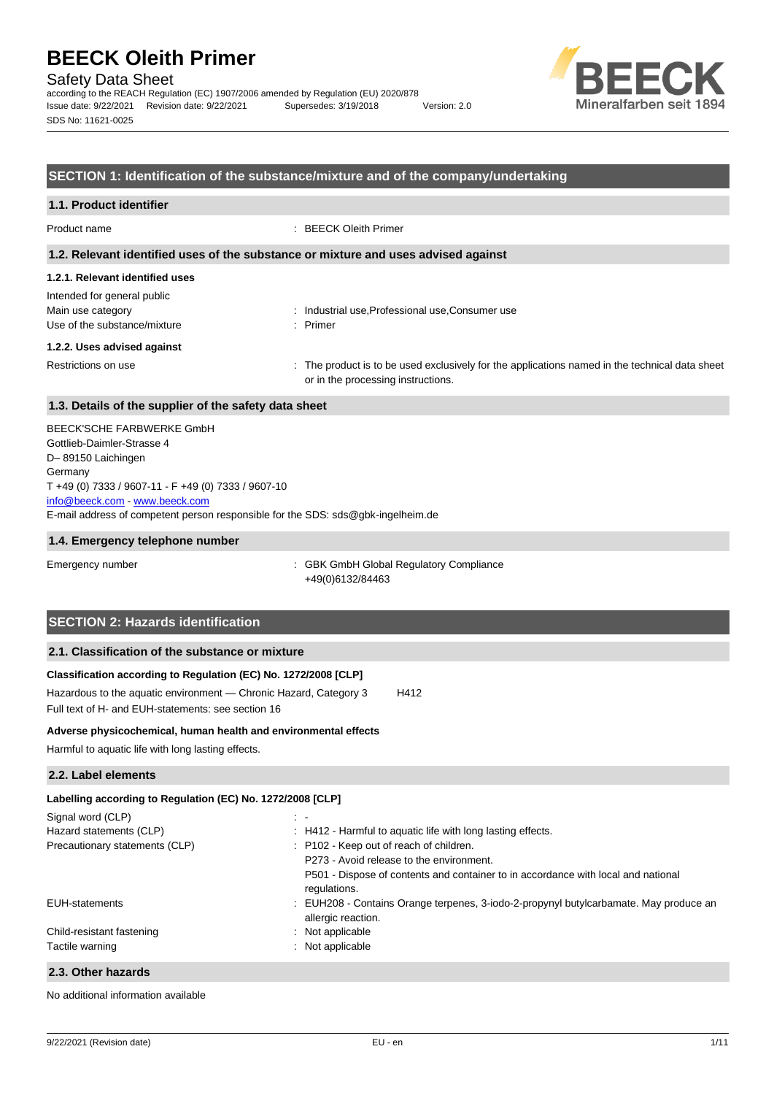Safety Data Sheet

according to the REACH Regulation (EC) 1907/2006 amended by Regulation (EU) 2020/878 Issue date: 9/22/2021 Revision date: 9/22/2021 Supersedes: 3/19/2018 Version: 2.0 SDS No: 11621-0025



#### **SECTION 1: Identification of the substance/mixture and of the company/undertaking**

#### **1.1. Product identifier**

Product name **: BEECK Oleith Primer** 

#### **1.2. Relevant identified uses of the substance or mixture and uses advised against**

# **1.2.1. Relevant identified uses**

| Intended for general public  |
|------------------------------|
| Main use category            |
| Use of the substance/mixture |

: Industrial use, Professional use, Consumer use : Primer

#### **1.2.2. Uses advised against**

Restrictions on use example of the product is to be used exclusively for the applications named in the technical data sheet or in the processing instructions.

### **1.3. Details of the supplier of the safety data sheet**

E-mail address of competent person responsible for the SDS: sds@gbk-ingelheim.de BEECK'SCHE FARBWERKE GmbH Gottlieb-Daimler-Strasse 4 D– 89150 Laichingen Germany T +49 (0) 7333 / 9607-11 - F +49 (0) 7333 / 9607-10 [info@beeck.com](mailto:info@beeck.com) - [www.beeck.com](http://www.beeck.com/)

#### **1.4. Emergency telephone number**

Emergency number : GBK GmbH Global Regulatory Compliance +49(0)6132/84463

# **SECTION 2: Hazards identification**

### **2.1. Classification of the substance or mixture**

#### **Classification according to Regulation (EC) No. 1272/2008 [CLP]**

Hazardous to the aquatic environment - Chronic Hazard, Category 3 H412 Full text of H- and EUH-statements: see section 16

#### **Adverse physicochemical, human health and environmental effects**

Harmful to aquatic life with long lasting effects.

#### **2.2. Label elements**

### **Labelling according to Regulation (EC) No. 1272/2008 [CLP]** Signal word (CLP) in the set of the set of the set of the set of the set of the set of the set of the set of the set of the set of the set of the set of the set of the set of the set of the set of the set of the set of the Hazard statements (CLP) : H412 - Harmful to aquatic life with long lasting effects. Precautionary statements (CLP) : P102 - Keep out of reach of children. P273 - Avoid release to the environment. P501 - Dispose of contents and container to in accordance with local and national regulations. EUH-statements **intervals in the COLL CONTA** : EUH208 - Contains Orange terpenes, 3-iodo-2-propynyl butylcarbamate. May produce an allergic reaction. Child-resistant fastening in the state of the state of the state of the state of the state of the state of the state of the state of the state of the state of the state of the state of the state of the state of the state o Tactile warning **in the case of the California** in Not applicable **2.3. Other hazards**

No additional information available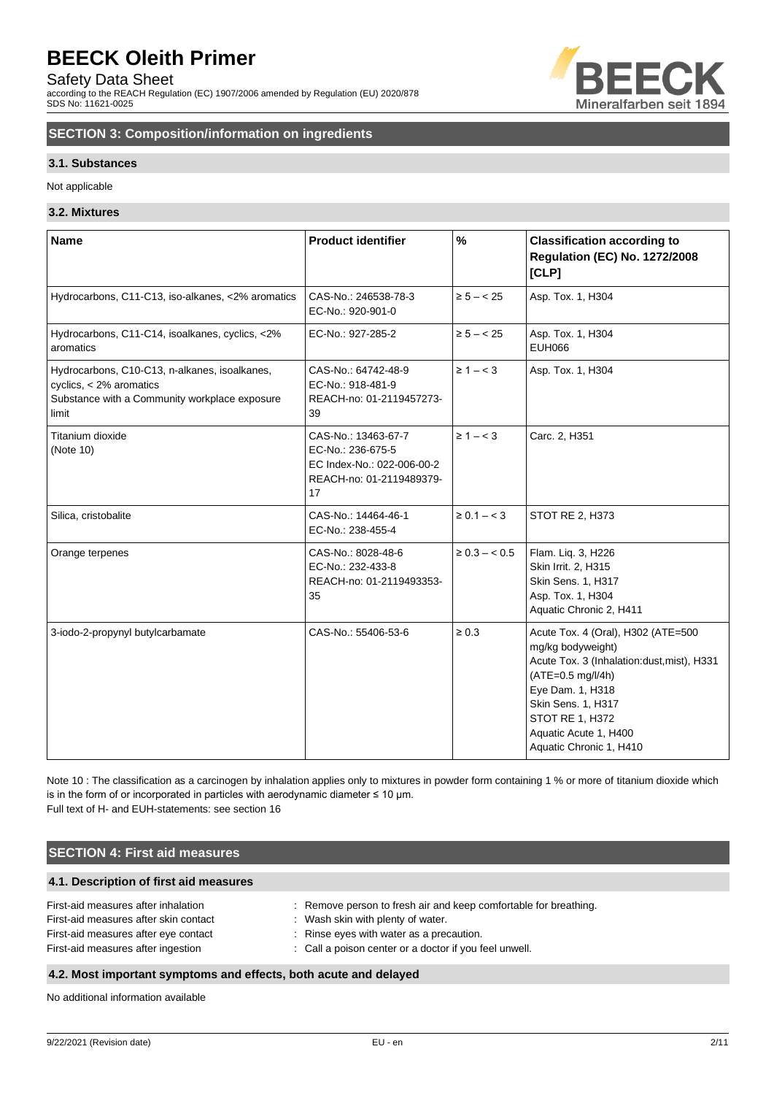Safety Data Sheet

according to the REACH Regulation (EC) 1907/2006 amended by Regulation (EU) 2020/878 SDS No: 11621-0025



# **SECTION 3: Composition/information on ingredients**

#### **3.1. Substances**

Not applicable

#### **3.2. Mixtures**

| <b>Name</b>                                                                                                                        | <b>Product identifier</b>                                                                                | $\%$               | <b>Classification according to</b><br><b>Regulation (EC) No. 1272/2008</b><br>[CLP]                                                                                                                                                         |
|------------------------------------------------------------------------------------------------------------------------------------|----------------------------------------------------------------------------------------------------------|--------------------|---------------------------------------------------------------------------------------------------------------------------------------------------------------------------------------------------------------------------------------------|
| Hydrocarbons, C11-C13, iso-alkanes, <2% aromatics                                                                                  | CAS-No.: 246538-78-3<br>EC-No.: 920-901-0                                                                | $\ge 5 - < 25$     | Asp. Tox. 1, H304                                                                                                                                                                                                                           |
| Hydrocarbons, C11-C14, isoalkanes, cyclics, <2%<br>aromatics                                                                       | EC-No.: 927-285-2                                                                                        | $\ge 5 - < 25$     | Asp. Tox. 1, H304<br><b>EUH066</b>                                                                                                                                                                                                          |
| Hydrocarbons, C10-C13, n-alkanes, isoalkanes,<br>cyclics, < 2% aromatics<br>Substance with a Community workplace exposure<br>limit | CAS-No.: 64742-48-9<br>EC-No.: 918-481-9<br>REACH-no: 01-2119457273-<br>39                               | $\geq 1 - < 3$     | Asp. Tox. 1, H304                                                                                                                                                                                                                           |
| Titanium dioxide<br>(Note 10)                                                                                                      | CAS-No.: 13463-67-7<br>EC-No.: 236-675-5<br>EC Index-No.: 022-006-00-2<br>REACH-no: 01-2119489379-<br>17 | $\geq 1 - < 3$     | Carc. 2, H351                                                                                                                                                                                                                               |
| Silica, cristobalite                                                                                                               | CAS-No.: 14464-46-1<br>EC-No.: 238-455-4                                                                 | $\ge 0.1 - < 3$    | STOT RE 2, H373                                                                                                                                                                                                                             |
| Orange terpenes                                                                                                                    | CAS-No.: 8028-48-6<br>EC-No.: 232-433-8<br>REACH-no: 01-2119493353-<br>35                                | $\geq 0.3 - < 0.5$ | Flam. Liq. 3, H226<br>Skin Irrit. 2, H315<br>Skin Sens. 1, H317<br>Asp. Tox. 1, H304<br>Aquatic Chronic 2, H411                                                                                                                             |
| 3-iodo-2-propynyl butylcarbamate                                                                                                   | CAS-No.: 55406-53-6                                                                                      | $\geq 0.3$         | Acute Tox. 4 (Oral), H302 (ATE=500<br>mg/kg bodyweight)<br>Acute Tox. 3 (Inhalation:dust, mist), H331<br>(ATE=0.5 mg/l/4h)<br>Eye Dam. 1, H318<br>Skin Sens. 1, H317<br>STOT RE 1, H372<br>Aquatic Acute 1, H400<br>Aquatic Chronic 1, H410 |

Note 10 : The classification as a carcinogen by inhalation applies only to mixtures in powder form containing 1 % or more of titanium dioxide which is in the form of or incorporated in particles with aerodynamic diameter  $\leq 10$  µm. Full text of H- and EUH-statements: see section 16

### **SECTION 4: First aid measures**

#### **4.1. Description of first aid measures**

| : Remove person to fresh air and keep comfortable for breathing. |
|------------------------------------------------------------------|
| : Wash skin with plenty of water.                                |
| : Rinse eyes with water as a precaution.                         |
| : Call a poison center or a doctor if you feel unwell.           |
|                                                                  |

### **4.2. Most important symptoms and effects, both acute and delayed**

No additional information available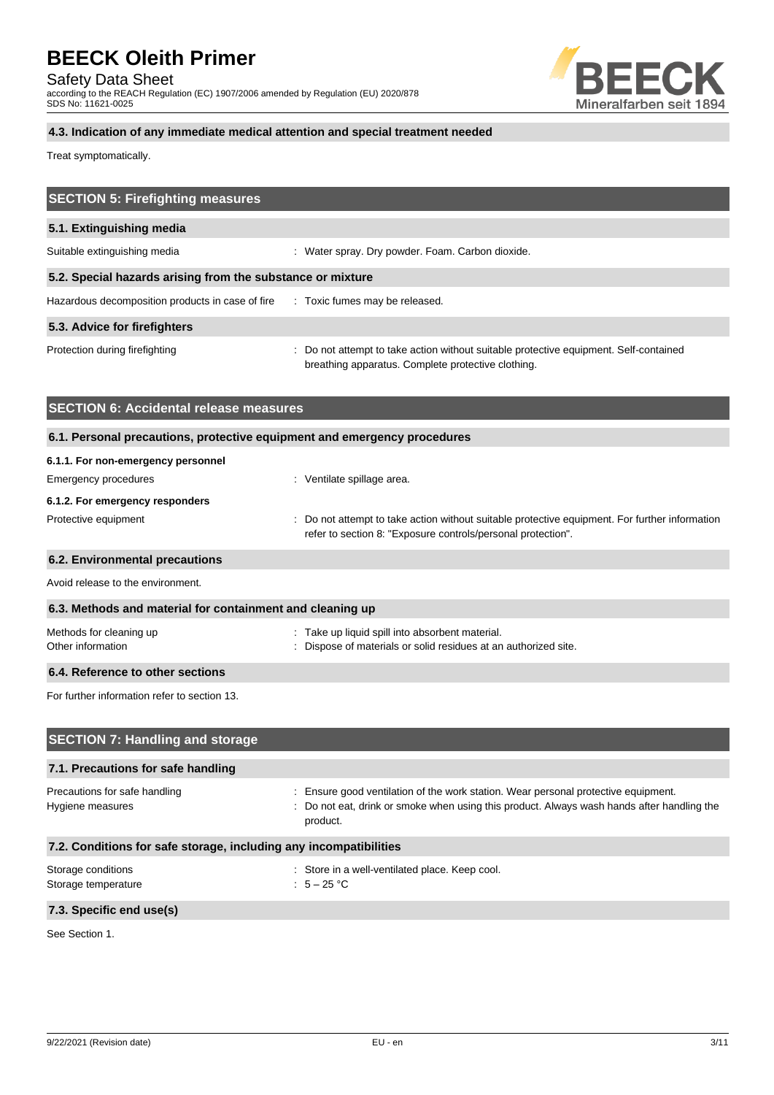Safety Data Sheet

according to the REACH Regulation (EC) 1907/2006 amended by Regulation (EU) 2020/878 SDS No: 11621-0025



# **4.3. Indication of any immediate medical attention and special treatment needed**

Treat symptomatically.

| <b>SECTION 5: Firefighting measures</b>                                  |                                                                                                                                                                                            |
|--------------------------------------------------------------------------|--------------------------------------------------------------------------------------------------------------------------------------------------------------------------------------------|
| 5.1. Extinguishing media                                                 |                                                                                                                                                                                            |
| Suitable extinguishing media                                             | : Water spray. Dry powder. Foam. Carbon dioxide.                                                                                                                                           |
| 5.2. Special hazards arising from the substance or mixture               |                                                                                                                                                                                            |
| Hazardous decomposition products in case of fire                         | : Toxic fumes may be released.                                                                                                                                                             |
| 5.3. Advice for firefighters                                             |                                                                                                                                                                                            |
| Protection during firefighting                                           | : Do not attempt to take action without suitable protective equipment. Self-contained<br>breathing apparatus. Complete protective clothing.                                                |
| <b>SECTION 6: Accidental release measures</b>                            |                                                                                                                                                                                            |
| 6.1. Personal precautions, protective equipment and emergency procedures |                                                                                                                                                                                            |
| 6.1.1. For non-emergency personnel                                       |                                                                                                                                                                                            |
| Emergency procedures                                                     | : Ventilate spillage area.                                                                                                                                                                 |
| 6.1.2. For emergency responders                                          |                                                                                                                                                                                            |
| Protective equipment                                                     | Do not attempt to take action without suitable protective equipment. For further information<br>refer to section 8: "Exposure controls/personal protection".                               |
| 6.2. Environmental precautions                                           |                                                                                                                                                                                            |
| Avoid release to the environment.                                        |                                                                                                                                                                                            |
| 6.3. Methods and material for containment and cleaning up                |                                                                                                                                                                                            |
| Methods for cleaning up<br>Other information                             | : Take up liquid spill into absorbent material.<br>Dispose of materials or solid residues at an authorized site.                                                                           |
| 6.4. Reference to other sections                                         |                                                                                                                                                                                            |
| For further information refer to section 13.                             |                                                                                                                                                                                            |
| <b>SECTION 7: Handling and storage</b>                                   |                                                                                                                                                                                            |
| 7.1. Precautions for safe handling                                       |                                                                                                                                                                                            |
| Precautions for safe handling<br>Hygiene measures                        | : Ensure good ventilation of the work station. Wear personal protective equipment.<br>Do not eat, drink or smoke when using this product. Always wash hands after handling the<br>product. |
| 7.2. Conditions for safe storage, including any incompatibilities        |                                                                                                                                                                                            |

Storage temperature

Storage conditions <br>Storage temperature  $\cdot$  Store in a well-ventilated place. Keep cool.<br>Storage temperature  $\cdot$  5 - 25 °C

### **7.3. Specific end use(s)**

See Section 1.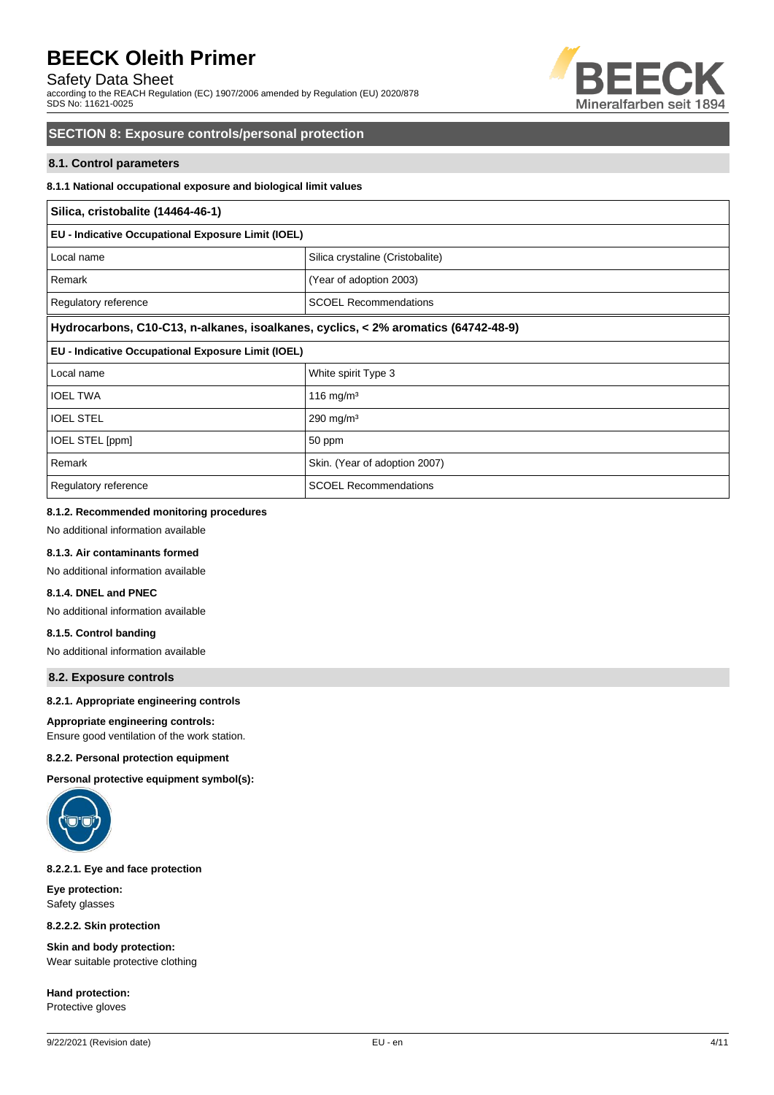### Safety Data Sheet

according to the REACH Regulation (EC) 1907/2006 amended by Regulation (EU) 2020/878 SDS No: 11621-0025



### **SECTION 8: Exposure controls/personal protection**

#### **8.1. Control parameters**

#### **8.1.1 National occupational exposure and biological limit values**

# **Silica, cristobalite (14464-46-1) EU - Indicative Occupational Exposure Limit (IOEL)** Local name Silica crystaline (Cristobalite) Remark **(Xear of adoption 2003)** (Year of adoption 2003) Regulatory reference SCOEL Recommendations **Hydrocarbons, C10-C13, n-alkanes, isoalkanes, cyclics, < 2% aromatics (64742-48-9) EU - Indicative Occupational Exposure Limit (IOEL)** Local name  $\vert$  White spirit Type 3 IOEL TWA 116 mg/m<sup>3</sup> IOEL STEL 290 mg/m<sup>3</sup> IOEL STEL [ppm] 30 ppm Remark **Skin.** (Year of adoption 2007) Regulatory reference SCOEL Recommendations

#### **8.1.2. Recommended monitoring procedures**

No additional information available

#### **8.1.3. Air contaminants formed**

No additional information available

### **8.1.4. DNEL and PNEC**

No additional information available

# **8.1.5. Control banding**

# No additional information available

**8.2. Exposure controls**

#### **8.2.1. Appropriate engineering controls**

#### **Appropriate engineering controls:**

Ensure good ventilation of the work station.

#### **8.2.2. Personal protection equipment**

**Personal protective equipment symbol(s):**



#### **8.2.2.1. Eye and face protection**

**Eye protection:** Safety glasses

**8.2.2.2. Skin protection**

**Skin and body protection:** Wear suitable protective clothing

**Hand protection:** Protective gloves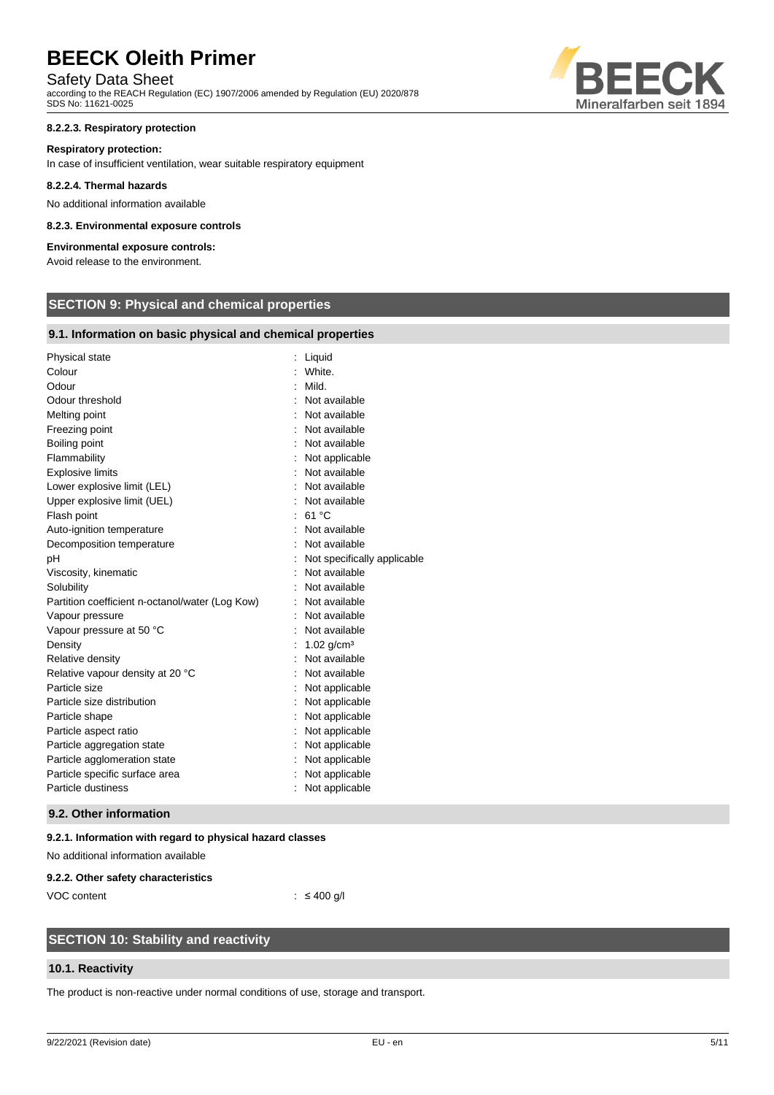# Safety Data Sheet

according to the REACH Regulation (EC) 1907/2006 amended by Regulation (EU) 2020/878 SDS No: 11621-0025

#### **8.2.2.3. Respiratory protection**

#### **Respiratory protection:**

In case of insufficient ventilation, wear suitable respiratory equipment

#### **8.2.2.4. Thermal hazards**

No additional information available

#### **8.2.3. Environmental exposure controls**

### **Environmental exposure controls:**

Avoid release to the environment.

# **SECTION 9: Physical and chemical properties**

#### **9.1. Information on basic physical and chemical properties**

| Physical state                                  | Liquid                      |
|-------------------------------------------------|-----------------------------|
| Colour                                          | White.                      |
| Odour                                           | Mild.                       |
| Odour threshold                                 | Not available               |
| Melting point                                   | Not available               |
| Freezing point                                  | Not available               |
| Boiling point                                   | Not available               |
| Flammability                                    | Not applicable              |
| <b>Explosive limits</b>                         | Not available               |
| Lower explosive limit (LEL)                     | Not available               |
| Upper explosive limit (UEL)                     | Not available               |
| Flash point                                     | 61 °C                       |
| Auto-ignition temperature                       | Not available               |
| Decomposition temperature                       | Not available               |
| рH                                              | Not specifically applicable |
| Viscosity, kinematic                            | Not available               |
| Solubility                                      | Not available               |
| Partition coefficient n-octanol/water (Log Kow) | : Not available             |
| Vapour pressure                                 | Not available               |
| Vapour pressure at 50 °C                        | Not available               |
| Density                                         | 1.02 $g/cm3$                |
| Relative density                                | Not available               |
| Relative vapour density at 20 °C                | Not available               |
| Particle size                                   | Not applicable              |
| Particle size distribution                      | Not applicable              |
| Particle shape                                  | Not applicable              |
| Particle aspect ratio                           | Not applicable              |
| Particle aggregation state                      | Not applicable              |
| Particle agglomeration state                    | Not applicable              |
| Particle specific surface area                  | Not applicable              |
| Particle dustiness                              | Not applicable              |
|                                                 |                             |

#### **9.2. Other information**

#### **9.2.1. Information with regard to physical hazard classes**

No additional information available

#### **9.2.2. Other safety characteristics**

VOC content : ≤ 400 g/l

# **SECTION 10: Stability and reactivity**

#### **10.1. Reactivity**

The product is non-reactive under normal conditions of use, storage and transport.

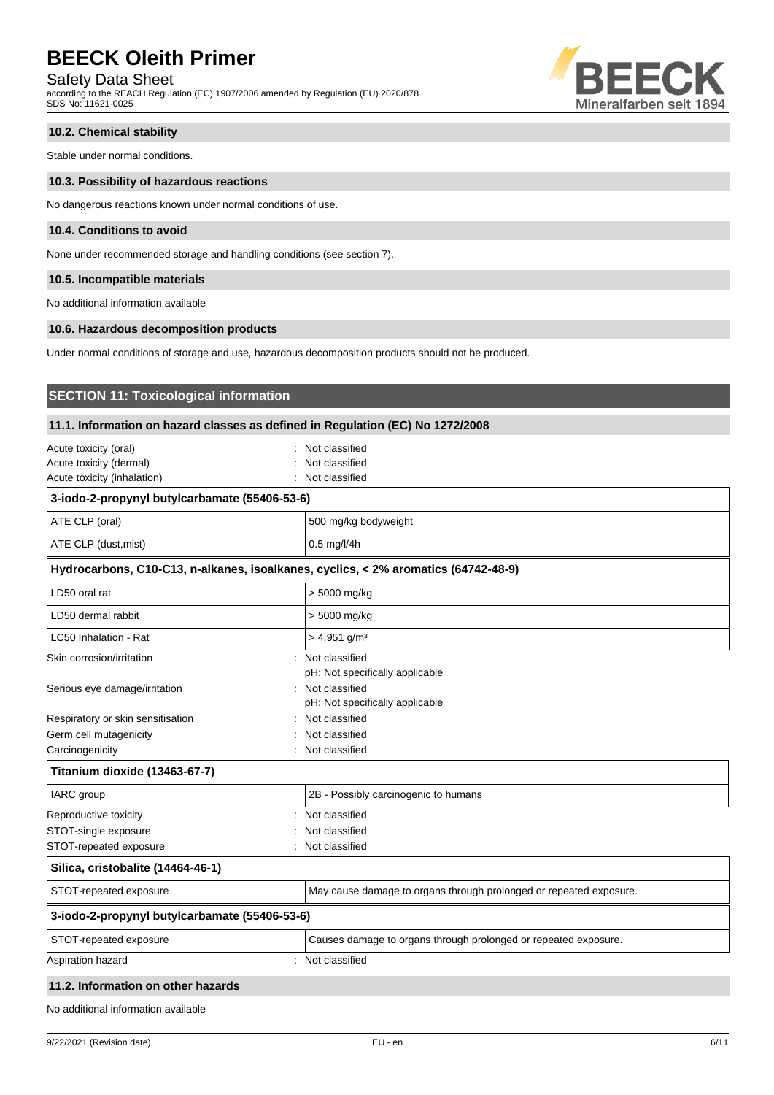### Safety Data Sheet

according to the REACH Regulation (EC) 1907/2006 amended by Regulation (EU) 2020/878 SDS No: 11621-0025



#### **10.2. Chemical stability**

Stable under normal conditions.

#### **10.3. Possibility of hazardous reactions**

No dangerous reactions known under normal conditions of use.

#### **10.4. Conditions to avoid**

None under recommended storage and handling conditions (see section 7).

#### **10.5. Incompatible materials**

No additional information available

#### **10.6. Hazardous decomposition products**

**SECTION 11: Toxicological information**

Under normal conditions of storage and use, hazardous decomposition products should not be produced.

| 11.1. Information on hazard classes as defined in Regulation (EC) No 1272/2008  |                                                                                    |  |
|---------------------------------------------------------------------------------|------------------------------------------------------------------------------------|--|
| Acute toxicity (oral)<br>Acute toxicity (dermal)<br>Acute toxicity (inhalation) | Not classified<br>Not classified<br>Not classified                                 |  |
| 3-iodo-2-propynyl butylcarbamate (55406-53-6)                                   |                                                                                    |  |
| ATE CLP (oral)                                                                  | 500 mg/kg bodyweight                                                               |  |
| ATE CLP (dust, mist)                                                            | 0.5 mg/l/4h                                                                        |  |
|                                                                                 | Hydrocarbons, C10-C13, n-alkanes, isoalkanes, cyclics, < 2% aromatics (64742-48-9) |  |
| LD50 oral rat                                                                   | > 5000 mg/kg                                                                       |  |
| LD50 dermal rabbit                                                              | > 5000 mg/kg                                                                       |  |
| LC50 Inhalation - Rat                                                           | $> 4.951$ g/m <sup>3</sup>                                                         |  |
| Skin corrosion/irritation                                                       | : Not classified<br>pH: Not specifically applicable                                |  |
| Serious eye damage/irritation                                                   | : Not classified<br>pH: Not specifically applicable                                |  |
| Respiratory or skin sensitisation                                               | : Not classified                                                                   |  |
| Germ cell mutagenicity                                                          | Not classified                                                                     |  |
| Carcinogenicity                                                                 | : Not classified.                                                                  |  |
| Titanium dioxide (13463-67-7)                                                   |                                                                                    |  |
| IARC group                                                                      | 2B - Possibly carcinogenic to humans                                               |  |
| Reproductive toxicity                                                           | : Not classified                                                                   |  |
| STOT-single exposure                                                            | Not classified                                                                     |  |
| STOT-repeated exposure                                                          | Not classified<br>÷                                                                |  |
| Silica, cristobalite (14464-46-1)                                               |                                                                                    |  |
| STOT-repeated exposure                                                          | May cause damage to organs through prolonged or repeated exposure.                 |  |
| 3-iodo-2-propynyl butylcarbamate (55406-53-6)                                   |                                                                                    |  |
| STOT-repeated exposure                                                          | Causes damage to organs through prolonged or repeated exposure.                    |  |
| Aspiration hazard                                                               | : Not classified                                                                   |  |

#### **11.2. Information on other hazards**

No additional information available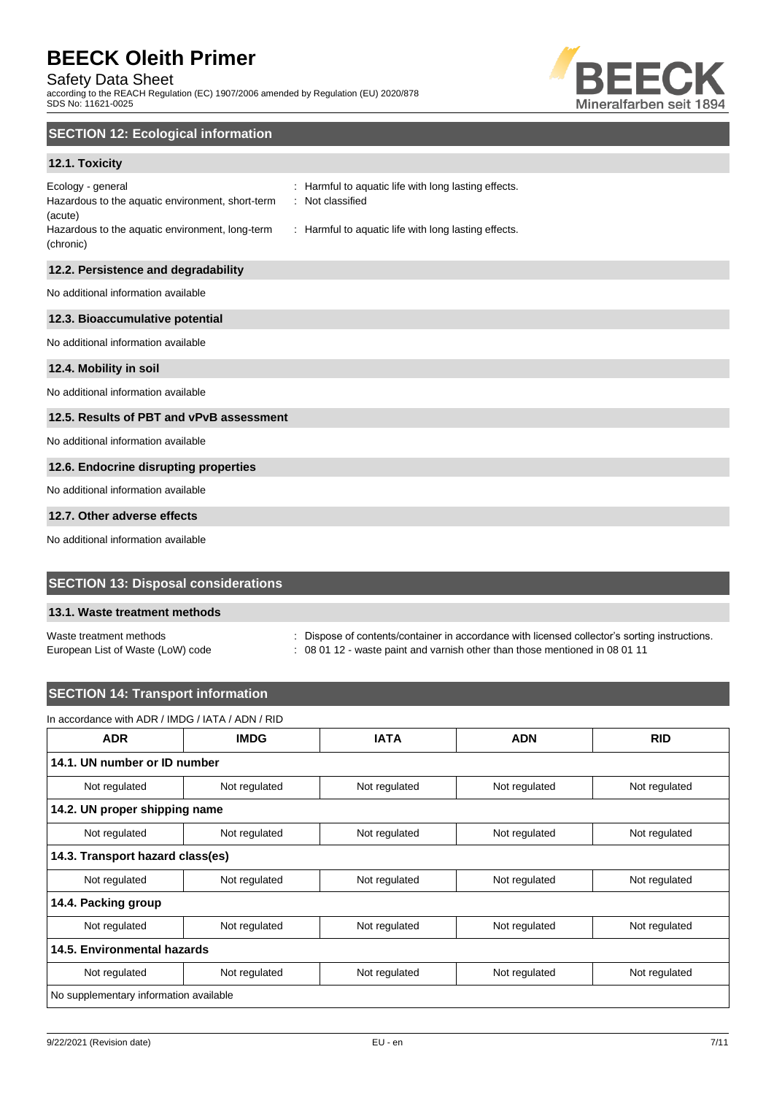### Safety Data Sheet

according to the REACH Regulation (EC) 1907/2006 amended by Regulation (EU) 2020/878 SDS No: 11621-0025



# **SECTION 12: Ecological information**

### **12.1. Toxicity**

| Ecology - general                                |
|--------------------------------------------------|
| Hazardous to the aquatic environment, short-term |
| (acute)                                          |
| Hazardous to the aquatic environment, long-term  |
| (chronic)                                        |

: Harmful to aquatic life with long lasting effects. : Not classified

: Harmful to aquatic life with long lasting effects.

# **12.2. Persistence and degradability**

No additional information available

#### **12.3. Bioaccumulative potential**

No additional information available

#### **12.4. Mobility in soil**

No additional information available

#### **12.5. Results of PBT and vPvB assessment**

No additional information available

#### **12.6. Endocrine disrupting properties**

No additional information available

#### **12.7. Other adverse effects**

No additional information available

# **SECTION 13: Disposal considerations**

#### **13.1. Waste treatment methods**

Waste treatment methods : Dispose of contents/container in accordance with licensed collector's sorting instructions.

European List of Waste (LoW) code : 08 01 12 - waste paint and varnish other than those mentioned in 08 01 11

# **SECTION 14: Transport information**

| <b>ADR</b>                             | <b>IMDG</b>   | <b>IATA</b>   | <b>ADN</b>                     | <b>RID</b>    |
|----------------------------------------|---------------|---------------|--------------------------------|---------------|
| 14.1. UN number or ID number           |               |               |                                |               |
| Not regulated                          | Not regulated | Not regulated | Not regulated                  | Not regulated |
| 14.2. UN proper shipping name          |               |               |                                |               |
| Not regulated                          | Not regulated | Not regulated | Not regulated<br>Not regulated |               |
| 14.3. Transport hazard class(es)       |               |               |                                |               |
| Not regulated                          | Not regulated | Not regulated | Not regulated                  | Not regulated |
| 14.4. Packing group                    |               |               |                                |               |
| Not regulated                          | Not regulated | Not regulated | Not regulated                  | Not regulated |
| 14.5. Environmental hazards            |               |               |                                |               |
| Not regulated                          | Not regulated | Not regulated | Not regulated<br>Not regulated |               |
| No supplementary information available |               |               |                                |               |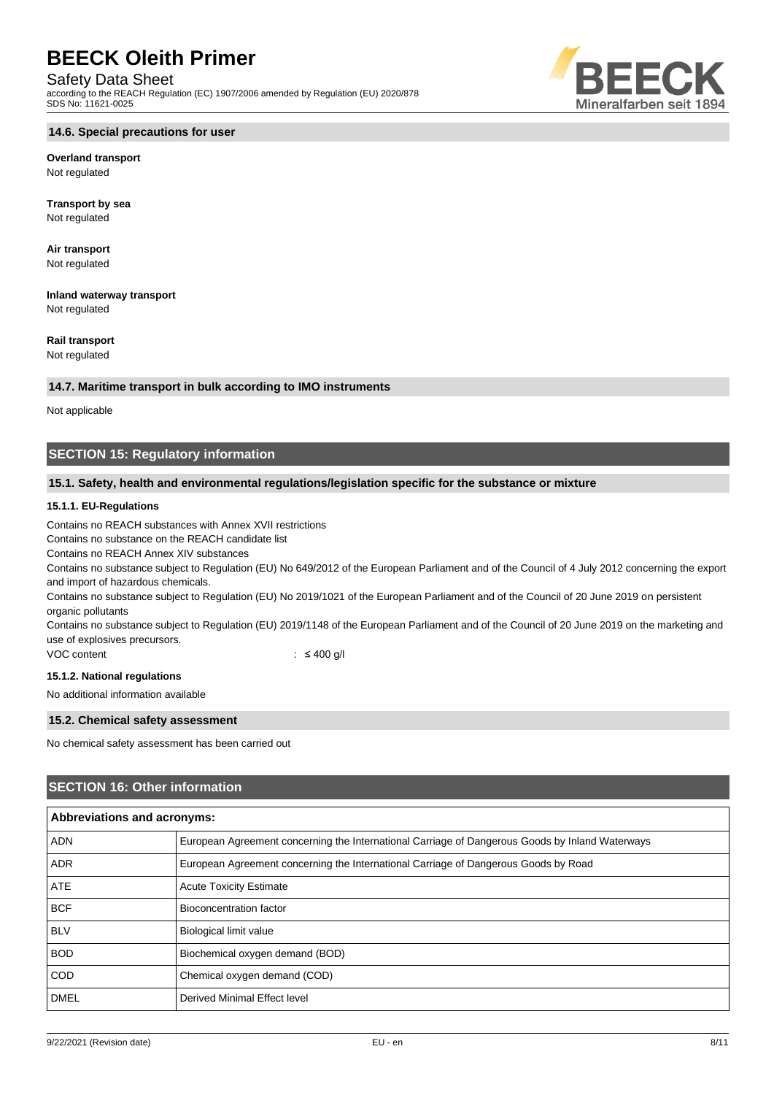#### Safety Data Sheet

according to the REACH Regulation (EC) 1907/2006 amended by Regulation (EU) 2020/878 SDS No: 11621-0025



#### **Overland transport** Not regulated

**Transport by sea** Not regulated

**Air transport** Not regulated

**Inland waterway transport** Not regulated

### **Rail transport**

Not regulated

#### **14.7. Maritime transport in bulk according to IMO instruments**

Not applicable

# **SECTION 15: Regulatory information**

#### **15.1. Safety, health and environmental regulations/legislation specific for the substance or mixture**

#### **15.1.1. EU-Regulations**

Contains no REACH substances with Annex XVII restrictions

Contains no substance on the REACH candidate list

Contains no REACH Annex XIV substances

Contains no substance subject to Regulation (EU) No 649/2012 of the European Parliament and of the Council of 4 July 2012 concerning the export and import of hazardous chemicals.

Contains no substance subject to Regulation (EU) No 2019/1021 of the European Parliament and of the Council of 20 June 2019 on persistent organic pollutants

Contains no substance subject to Regulation (EU) 2019/1148 of the European Parliament and of the Council of 20 June 2019 on the marketing and use of explosives precursors.

VOC content : ≤ 400 g/l

#### **15.1.2. National regulations**

No additional information available

#### **15.2. Chemical safety assessment**

No chemical safety assessment has been carried out

### **SECTION 16: Other information**

| Abbreviations and acronyms: |                                                                                                 |  |
|-----------------------------|-------------------------------------------------------------------------------------------------|--|
| <b>ADN</b>                  | European Agreement concerning the International Carriage of Dangerous Goods by Inland Waterways |  |
| <b>ADR</b>                  | European Agreement concerning the International Carriage of Dangerous Goods by Road             |  |
| <b>ATE</b>                  | <b>Acute Toxicity Estimate</b>                                                                  |  |
| <b>BCF</b>                  | Bioconcentration factor                                                                         |  |
| <b>BLV</b>                  | <b>Biological limit value</b>                                                                   |  |
| <b>BOD</b>                  | Biochemical oxygen demand (BOD)                                                                 |  |
| <b>COD</b>                  | Chemical oxygen demand (COD)                                                                    |  |
| <b>DMEL</b>                 | Derived Minimal Effect level                                                                    |  |

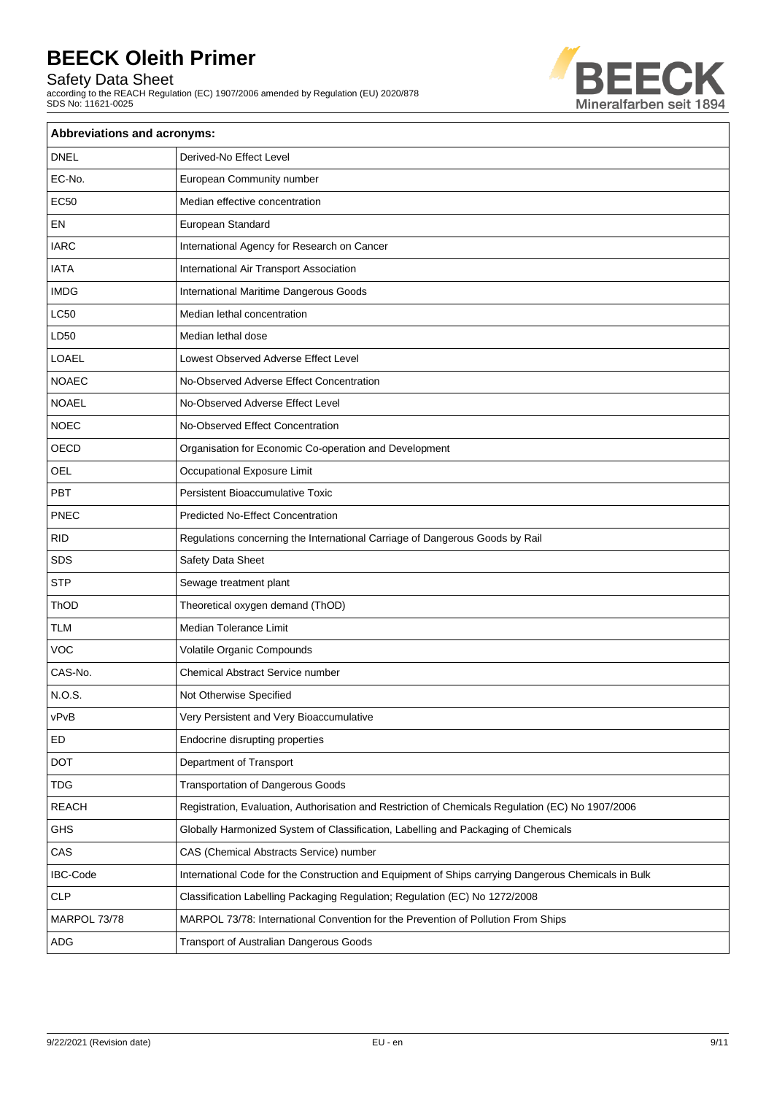Safety Data Sheet

according to the REACH Regulation (EC) 1907/2006 amended by Regulation (EU) 2020/878 SDS No: 11621-0025



| Abbreviations and acronyms: |                                                                                                     |  |
|-----------------------------|-----------------------------------------------------------------------------------------------------|--|
| <b>DNEL</b>                 | Derived-No Effect Level                                                                             |  |
| EC-No.                      | European Community number                                                                           |  |
| <b>EC50</b>                 | Median effective concentration                                                                      |  |
| EN                          | European Standard                                                                                   |  |
| <b>IARC</b>                 | International Agency for Research on Cancer                                                         |  |
| <b>IATA</b>                 | International Air Transport Association                                                             |  |
| <b>IMDG</b>                 | International Maritime Dangerous Goods                                                              |  |
| <b>LC50</b>                 | Median lethal concentration                                                                         |  |
| LD50                        | Median lethal dose                                                                                  |  |
| <b>LOAEL</b>                | Lowest Observed Adverse Effect Level                                                                |  |
| <b>NOAEC</b>                | No-Observed Adverse Effect Concentration                                                            |  |
| <b>NOAEL</b>                | No-Observed Adverse Effect Level                                                                    |  |
| <b>NOEC</b>                 | No-Observed Effect Concentration                                                                    |  |
| OECD                        | Organisation for Economic Co-operation and Development                                              |  |
| OEL                         | Occupational Exposure Limit                                                                         |  |
| <b>PBT</b>                  | <b>Persistent Bioaccumulative Toxic</b>                                                             |  |
| PNEC                        | <b>Predicted No-Effect Concentration</b>                                                            |  |
| <b>RID</b>                  | Regulations concerning the International Carriage of Dangerous Goods by Rail                        |  |
| SDS                         | Safety Data Sheet                                                                                   |  |
| <b>STP</b>                  | Sewage treatment plant                                                                              |  |
| ThOD                        | Theoretical oxygen demand (ThOD)                                                                    |  |
| <b>TLM</b>                  | Median Tolerance Limit                                                                              |  |
| <b>VOC</b>                  | Volatile Organic Compounds                                                                          |  |
| CAS-No.                     | Chemical Abstract Service number                                                                    |  |
| N.O.S.                      | Not Otherwise Specified                                                                             |  |
| vPvB                        | Very Persistent and Very Bioaccumulative                                                            |  |
| ED                          | Endocrine disrupting properties                                                                     |  |
| <b>DOT</b>                  | Department of Transport                                                                             |  |
| <b>TDG</b>                  | <b>Transportation of Dangerous Goods</b>                                                            |  |
| <b>REACH</b>                | Registration, Evaluation, Authorisation and Restriction of Chemicals Regulation (EC) No 1907/2006   |  |
| <b>GHS</b>                  | Globally Harmonized System of Classification, Labelling and Packaging of Chemicals                  |  |
| CAS                         | CAS (Chemical Abstracts Service) number                                                             |  |
| <b>IBC-Code</b>             | International Code for the Construction and Equipment of Ships carrying Dangerous Chemicals in Bulk |  |
| CLP                         | Classification Labelling Packaging Regulation; Regulation (EC) No 1272/2008                         |  |
| MARPOL 73/78                | MARPOL 73/78: International Convention for the Prevention of Pollution From Ships                   |  |
| ADG                         | Transport of Australian Dangerous Goods                                                             |  |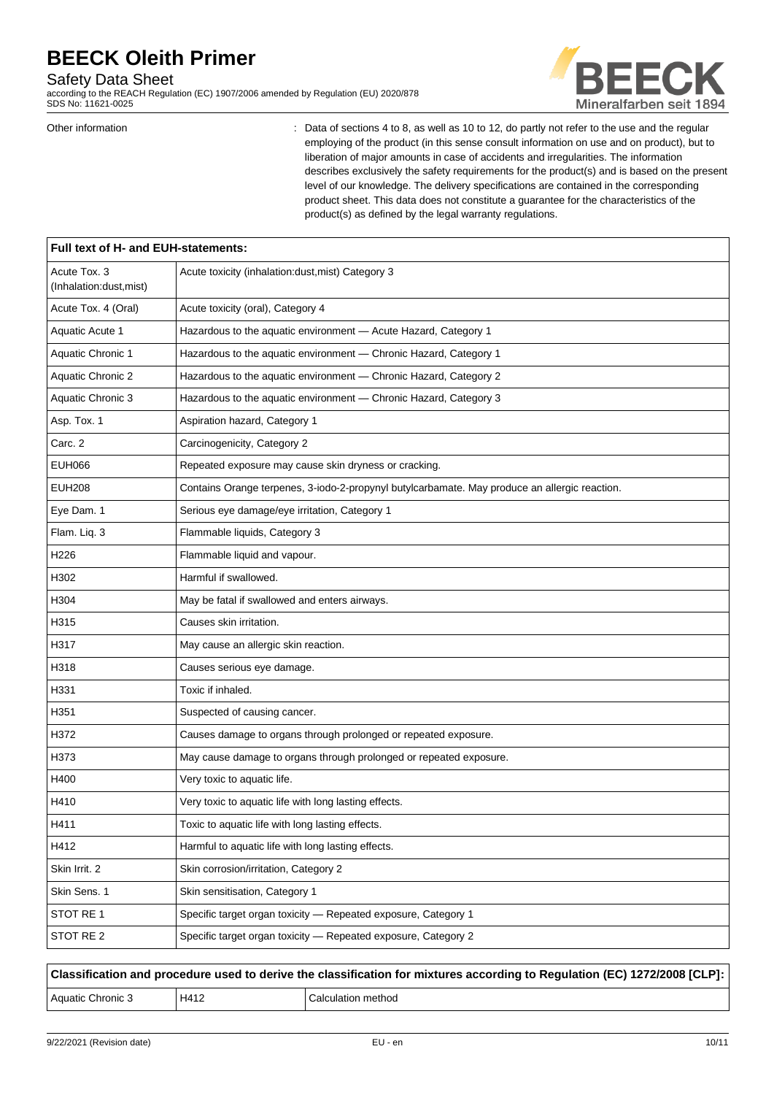#### Safety Data Sheet

according to the REACH Regulation (EC) 1907/2006 amended by Regulation (EU) 2020/878 SDS No: 11621-0025



Other information **interest in the regular**  $\cdot$  Data of sections 4 to 8, as well as 10 to 12, do partly not refer to the use and the regular employing of the product (in this sense consult information on use and on product), but to liberation of major amounts in case of accidents and irregularities. The information describes exclusively the safety requirements for the product(s) and is based on the present level of our knowledge. The delivery specifications are contained in the corresponding product sheet. This data does not constitute a guarantee for the characteristics of the product(s) as defined by the legal warranty regulations.

| Full text of H- and EUH-statements:     |                                                                                               |  |
|-----------------------------------------|-----------------------------------------------------------------------------------------------|--|
| Acute Tox. 3<br>(Inhalation:dust, mist) | Acute toxicity (inhalation:dust, mist) Category 3                                             |  |
| Acute Tox. 4 (Oral)                     | Acute toxicity (oral), Category 4                                                             |  |
| Aquatic Acute 1                         | Hazardous to the aquatic environment - Acute Hazard, Category 1                               |  |
| Aquatic Chronic 1                       | Hazardous to the aquatic environment - Chronic Hazard, Category 1                             |  |
| Aquatic Chronic 2                       | Hazardous to the aquatic environment - Chronic Hazard, Category 2                             |  |
| Aquatic Chronic 3                       | Hazardous to the aquatic environment - Chronic Hazard, Category 3                             |  |
| Asp. Tox. 1                             | Aspiration hazard, Category 1                                                                 |  |
| Carc. 2                                 | Carcinogenicity, Category 2                                                                   |  |
| <b>EUH066</b>                           | Repeated exposure may cause skin dryness or cracking.                                         |  |
| <b>EUH208</b>                           | Contains Orange terpenes, 3-iodo-2-propynyl butylcarbamate. May produce an allergic reaction. |  |
| Eye Dam. 1                              | Serious eye damage/eye irritation, Category 1                                                 |  |
| Flam. Liq. 3                            | Flammable liquids, Category 3                                                                 |  |
| H <sub>226</sub>                        | Flammable liquid and vapour.                                                                  |  |
| H302                                    | Harmful if swallowed.                                                                         |  |
| H304                                    | May be fatal if swallowed and enters airways.                                                 |  |
| H315                                    | Causes skin irritation.                                                                       |  |
| H317                                    | May cause an allergic skin reaction.                                                          |  |
| H318                                    | Causes serious eye damage.                                                                    |  |
| H331                                    | Toxic if inhaled.                                                                             |  |
| H351                                    | Suspected of causing cancer.                                                                  |  |
| H372                                    | Causes damage to organs through prolonged or repeated exposure.                               |  |
| H373                                    | May cause damage to organs through prolonged or repeated exposure.                            |  |
| H400                                    | Very toxic to aquatic life.                                                                   |  |
| H410                                    | Very toxic to aquatic life with long lasting effects.                                         |  |
| H411                                    | Toxic to aquatic life with long lasting effects                                               |  |
| H412                                    | Harmful to aquatic life with long lasting effects.                                            |  |
| Skin Irrit. 2                           | Skin corrosion/irritation, Category 2                                                         |  |
| Skin Sens. 1                            | Skin sensitisation, Category 1                                                                |  |
| STOT RE 1                               | Specific target organ toxicity - Repeated exposure, Category 1                                |  |
| STOT RE 2                               | Specific target organ toxicity - Repeated exposure, Category 2                                |  |

**Classification and procedure used to derive the classification for mixtures according to Regulation (EC) 1272/2008 [CLP]:** Aquatic Chronic 3 H412 Calculation method